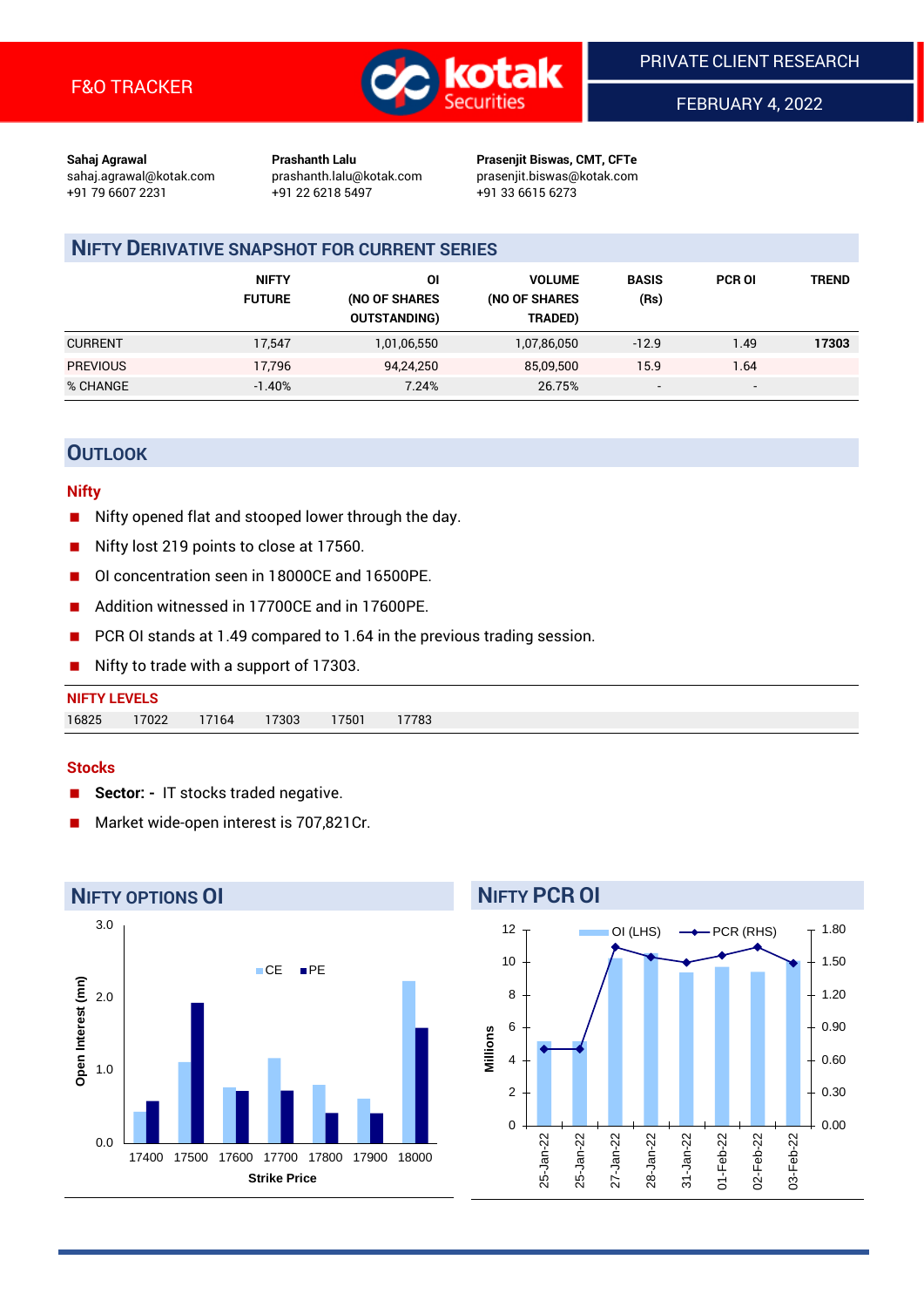

FEBRUARY 4, 2022

**Sahaj Agrawal Prashanth Lalu Prasenjit Biswas, CMT, CFTe** +91 79 6607 2231 +91 22 6218 5497 +91 33 6615 6273

sahaj.agrawal@kotak.com [prashanth.lalu@kotak.com](mailto:prashanth.lalu@kotak.com) prasenjit.biswas@kotak.com

# **NIFTY DERIVATIVE SNAPSHOT FOR CURRENT SERIES**

|                 | <b>NIFTY</b><br><b>FUTURE</b> | ΟI<br>(NO OF SHARES<br><b>OUTSTANDING)</b> | <b>VOLUME</b><br>(NO OF SHARES<br>TRADED) | <b>BASIS</b><br>(Rs)     | <b>PCR OI</b>            | TREND |
|-----------------|-------------------------------|--------------------------------------------|-------------------------------------------|--------------------------|--------------------------|-------|
| <b>CURRENT</b>  | 17.547                        | 1,01,06,550                                | 1,07,86,050                               | $-12.9$                  | 1.49                     | 17303 |
| <b>PREVIOUS</b> | 17,796                        | 94,24,250                                  | 85,09,500                                 | 15.9                     | 1.64                     |       |
| % CHANGE        | $-1.40%$                      | 7.24%                                      | 26.75%                                    | $\overline{\phantom{a}}$ | $\overline{\phantom{a}}$ |       |

## **OUTLOOK**

#### **Nifty**

- Nifty opened flat and stooped lower through the day.
- Nifty lost 219 points to close at 17560.
- OI concentration seen in 18000CE and 16500PE.
- Addition witnessed in 17700CE and in 17600PE.
- PCR OI stands at 1.49 compared to 1.64 in the previous trading session.
- Nifty to trade with a support of 17303.

#### **Stocks**

- **Sector: -** IT stocks traded negative.
- Market wide-open interest is 707,821Cr.



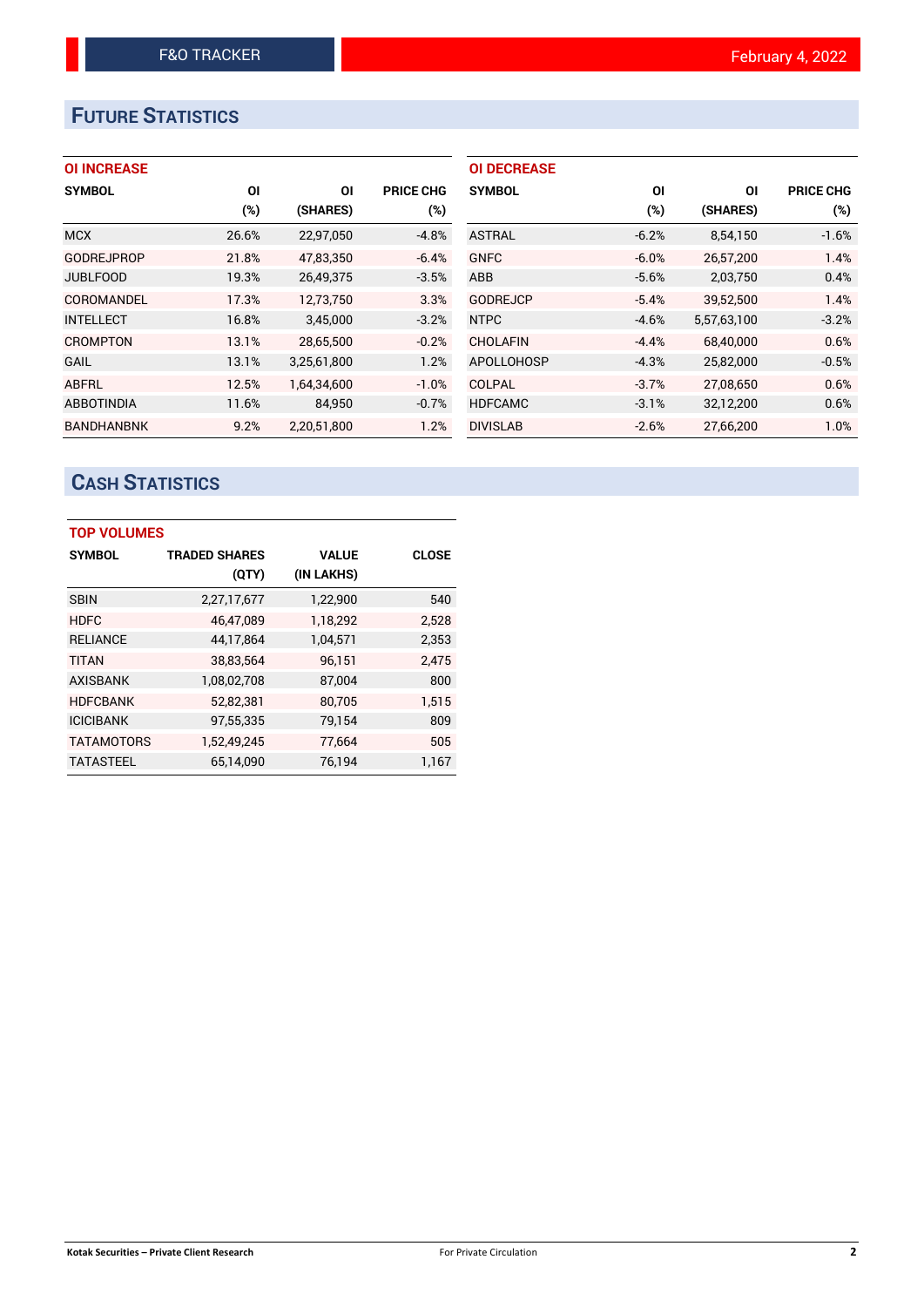# **FUTURE STATISTICS**

## **OI INCREASE**

| <b>SYMBOL</b>     | ΟI    | ΟI          | <b>PRICE CHG</b> |
|-------------------|-------|-------------|------------------|
|                   | (%)   | (SHARES)    | (%)              |
| <b>MCX</b>        | 26.6% | 22,97,050   | $-4.8%$          |
| <b>GODREJPROP</b> | 21.8% | 47,83,350   | $-6.4%$          |
| <b>JUBLFOOD</b>   | 19.3% | 26,49,375   | $-3.5%$          |
| COROMANDEL        | 17.3% | 12,73,750   | 3.3%             |
| <b>INTELLECT</b>  | 16.8% | 3,45,000    | $-3.2%$          |
| <b>CROMPTON</b>   | 13.1% | 28.65.500   | $-0.2%$          |
| GAIL              | 13.1% | 3,25,61,800 | 1.2%             |
| ABFRL             | 12.5% | 1,64,34,600 | $-1.0%$          |
| <b>ABBOTINDIA</b> | 11.6% | 84,950      | $-0.7%$          |
| <b>BANDHANBNK</b> | 9.2%  | 2.20.51.800 | 1.2%             |

| <b>OI DECREASE</b> |         |             |                  |
|--------------------|---------|-------------|------------------|
| <b>SYMBOL</b>      | ΟI      | ΟI          | <b>PRICE CHG</b> |
|                    | (%)     | (SHARES)    | (%)              |
| <b>ASTRAL</b>      | $-6.2%$ | 8,54,150    | $-1.6%$          |
| <b>GNFC</b>        | $-6.0%$ | 26,57,200   | 1.4%             |
| <b>ABB</b>         | $-5.6%$ | 2,03,750    | 0.4%             |
| <b>GODREJCP</b>    | $-5.4%$ | 39.52.500   | 1.4%             |
| <b>NTPC</b>        | $-4.6%$ | 5,57,63,100 | $-3.2%$          |
| <b>CHOLAFIN</b>    | $-4.4%$ | 68.40.000   | 0.6%             |
| <b>APOLLOHOSP</b>  | $-4.3%$ | 25,82,000   | $-0.5%$          |
| COLPAL             | $-3.7%$ | 27,08,650   | 0.6%             |
| <b>HDFCAMC</b>     | $-3.1%$ | 32,12,200   | 0.6%             |
| <b>DIVISLAB</b>    | $-2.6%$ | 27.66.200   | 1.0%             |

# **CASH STATISTICS**

| <b>TOP VOLUMES</b> |                      |              |              |  |  |  |  |  |
|--------------------|----------------------|--------------|--------------|--|--|--|--|--|
| <b>SYMBOL</b>      | <b>TRADED SHARES</b> | <b>VALUE</b> | <b>CLOSE</b> |  |  |  |  |  |
|                    | (QTY)                | (IN LAKHS)   |              |  |  |  |  |  |
| <b>SBIN</b>        | 2,27,17,677          | 1,22,900     | 540          |  |  |  |  |  |
| <b>HDFC</b>        | 46.47.089            | 1,18,292     | 2.528        |  |  |  |  |  |
| <b>RELIANCE</b>    | 44,17,864            | 1,04,571     | 2,353        |  |  |  |  |  |
| <b>TITAN</b>       | 38,83,564            | 96,151       | 2,475        |  |  |  |  |  |
| <b>AXISBANK</b>    | 1,08,02,708          | 87,004       | 800          |  |  |  |  |  |
| <b>HDFCBANK</b>    | 52,82,381            | 80,705       | 1,515        |  |  |  |  |  |
| <b>ICICIBANK</b>   | 97,55,335            | 79,154       | 809          |  |  |  |  |  |
| <b>TATAMOTORS</b>  | 1,52,49,245          | 77,664       | 505          |  |  |  |  |  |
| <b>TATASTEEL</b>   | 65.14.090            | 76.194       | 1.167        |  |  |  |  |  |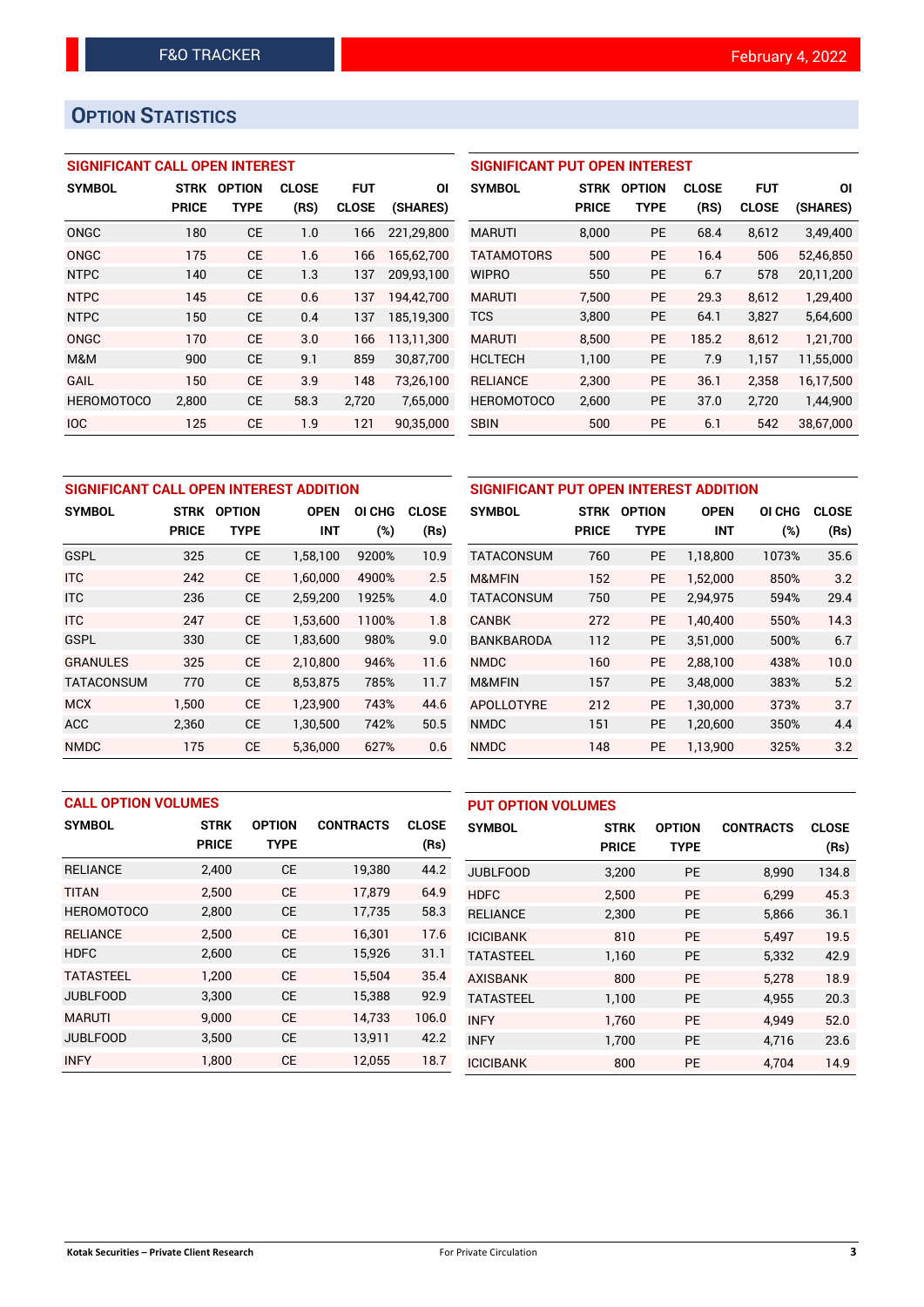# **OPTION STATISTICS**

## **SIGNIFICANT CALL OPEN INTEREST**

| <b>SYMBOL</b>     | STRK         | <b>OPTION</b> | <b>CLOSE</b> | <b>FUT</b>   | ΟI         |
|-------------------|--------------|---------------|--------------|--------------|------------|
|                   | <b>PRICE</b> | <b>TYPE</b>   | (RS)         | <b>CLOSE</b> | (SHARES)   |
| ONGC              | 180          | <b>CE</b>     | 1.0          | 166          | 221,29,800 |
| ONGC              | 175          | CE            | 1.6          | 166          | 165,62,700 |
| <b>NTPC</b>       | 140          | <b>CE</b>     | 1.3          | 137          | 209,93,100 |
| <b>NTPC</b>       | 145          | CE            | 0.6          | 137          | 194,42,700 |
| <b>NTPC</b>       | 150          | СE            | 0.4          | 137          | 185,19,300 |
| ONGC              | 170          | <b>CE</b>     | 3.0          | 166          | 113.11.300 |
| M&M               | 900          | СE            | 9.1          | 859          | 30,87,700  |
| GAIL              | 150          | <b>CE</b>     | 3.9          | 148          | 73,26,100  |
| <b>HEROMOTOCO</b> | 2,800        | СE            | 58.3         | 2,720        | 7,65,000   |
| <b>IOC</b>        | 125          | CE            | 1.9          | 121          | 90,35,000  |

| <b>SIGNIFICANT PUT OPEN INTEREST</b> |              |               |              |              |           |  |  |  |  |  |
|--------------------------------------|--------------|---------------|--------------|--------------|-----------|--|--|--|--|--|
| <b>SYMBOL</b>                        | <b>STRK</b>  | <b>OPTION</b> | <b>CLOSE</b> | <b>FUT</b>   | ΟI        |  |  |  |  |  |
|                                      | <b>PRICE</b> | TYPE          | (RS)         | <b>CLOSE</b> | (SHARES)  |  |  |  |  |  |
| <b>MARUTI</b>                        | 8,000        | <b>PE</b>     | 68.4         | 8,612        | 3,49,400  |  |  |  |  |  |
| <b>TATAMOTORS</b>                    | 500          | <b>PE</b>     | 16.4         | 506          | 52,46,850 |  |  |  |  |  |
| <b>WIPRO</b>                         | 550          | <b>PE</b>     | 6.7          | 578          | 20,11,200 |  |  |  |  |  |
| <b>MARUTI</b>                        | 7,500        | <b>PE</b>     | 29.3         | 8.612        | 1,29,400  |  |  |  |  |  |
| <b>TCS</b>                           | 3,800        | PE            | 64.1         | 3,827        | 5,64,600  |  |  |  |  |  |
| <b>MARUTI</b>                        | 8,500        | <b>PE</b>     | 185.2        | 8.612        | 1,21,700  |  |  |  |  |  |
| <b>HCLTECH</b>                       | 1,100        | <b>PE</b>     | 7.9          | 1,157        | 11,55,000 |  |  |  |  |  |
| <b>RELIANCE</b>                      | 2,300        | <b>PE</b>     | 36.1         | 2,358        | 16,17,500 |  |  |  |  |  |
| <b>HEROMOTOCO</b>                    | 2,600        | PE            | 37.0         | 2,720        | 1,44,900  |  |  |  |  |  |
| <b>SBIN</b>                          | 500          | <b>PE</b>     | 6.1          | 542          | 38.67.000 |  |  |  |  |  |

| SIGNIFICANT CALL OPEN INTEREST ADDITION |              |               |             | SIGNIFICANT PUT OPEN INTEREST ADDITION |              |                   |              |               |             |               |              |
|-----------------------------------------|--------------|---------------|-------------|----------------------------------------|--------------|-------------------|--------------|---------------|-------------|---------------|--------------|
| <b>SYMBOL</b>                           | <b>STRK</b>  | <b>OPTION</b> | <b>OPEN</b> | OI CHG                                 | <b>CLOSE</b> | <b>SYMBOL</b>     | <b>STRK</b>  | <b>OPTION</b> | <b>OPEN</b> | <b>OI CHG</b> | <b>CLOSE</b> |
|                                         | <b>PRICE</b> | <b>TYPE</b>   | <b>INT</b>  | $(\%)$                                 | (Rs)         |                   | <b>PRICE</b> | <b>TYPE</b>   | <b>INT</b>  | (%)           | (Rs)         |
| <b>GSPL</b>                             | 325          | <b>CE</b>     | 1,58,100    | 9200%                                  | 10.9         | <b>TATACONSUM</b> | 760          | PE            | 1,18,800    | 1073%         | 35.6         |
| <b>ITC</b>                              | 242          | <b>CE</b>     | 1.60.000    | 4900%                                  | 2.5          | M&MFIN            | 152          | <b>PE</b>     | 1.52.000    | 850%          | 3.2          |
| <b>ITC</b>                              | 236          | <b>CE</b>     | 2,59,200    | 1925%                                  | 4.0          | <b>TATACONSUM</b> | 750          | <b>PE</b>     | 2,94,975    | 594%          | 29.4         |
| <b>ITC</b>                              | 247          | <b>CE</b>     | 1.53.600    | 1100%                                  | 1.8          | <b>CANBK</b>      | 272          | <b>PE</b>     | 1.40.400    | 550%          | 14.3         |
| <b>GSPL</b>                             | 330          | <b>CE</b>     | 1,83,600    | 980%                                   | 9.0          | <b>BANKBARODA</b> | 112          | <b>PE</b>     | 3,51,000    | 500%          | 6.7          |
| <b>GRANULES</b>                         | 325          | <b>CE</b>     | 2,10,800    | 946%                                   | 11.6         | <b>NMDC</b>       | 160          | <b>PE</b>     | 2.88.100    | 438%          | 10.0         |
| <b>TATACONSUM</b>                       | 770          | <b>CE</b>     | 8,53,875    | 785%                                   | 11.7         | <b>M&amp;MFIN</b> | 157          | <b>PE</b>     | 3,48,000    | 383%          | 5.2          |
| <b>MCX</b>                              | 1.500        | <b>CE</b>     | 1.23.900    | 743%                                   | 44.6         | <b>APOLLOTYRE</b> | 212          | <b>PE</b>     | 1.30.000    | 373%          | 3.7          |
| <b>ACC</b>                              | 2,360        | <b>CE</b>     | 1,30,500    | 742%                                   | 50.5         | <b>NMDC</b>       | 151          | PE.           | 1,20,600    | 350%          | 4.4          |
| <b>NMDC</b>                             | 175          | <b>CE</b>     | 5.36.000    | 627%                                   | 0.6          | <b>NMDC</b>       | 148          | <b>PE</b>     | 1.13.900    | 325%          | 3.2          |

|                   | <b>CALL OPTION VOLUMES</b> |               |                  |              |                  | <b>PUT OPTION VOLUMES</b> |               |                  |              |
|-------------------|----------------------------|---------------|------------------|--------------|------------------|---------------------------|---------------|------------------|--------------|
| <b>SYMBOL</b>     | <b>STRK</b>                | <b>OPTION</b> | <b>CONTRACTS</b> | <b>CLOSE</b> | <b>SYMBOL</b>    | <b>STRK</b>               | <b>OPTION</b> | <b>CONTRACTS</b> | <b>CLOSE</b> |
|                   | <b>PRICE</b>               | <b>TYPE</b>   |                  | (Rs)         |                  | <b>PRICE</b>              | <b>TYPE</b>   |                  | (Rs)         |
| <b>RELIANCE</b>   | 2,400                      | <b>CE</b>     | 19,380           | 44.2         | <b>JUBLFOOD</b>  | 3,200                     | PE            | 8,990            | 134.8        |
| <b>TITAN</b>      | 2,500                      | <b>CE</b>     | 17.879           | 64.9         | <b>HDFC</b>      | 2.500                     | <b>PE</b>     | 6.299            | 45.3         |
| <b>HEROMOTOCO</b> | 2,800                      | <b>CE</b>     | 17,735           | 58.3         | <b>RELIANCE</b>  | 2,300                     | <b>PE</b>     | 5,866            | 36.1         |
| <b>RELIANCE</b>   | 2.500                      | <b>CE</b>     | 16.301           | 17.6         | <b>ICICIBANK</b> | 810                       | <b>PE</b>     | 5,497            | 19.5         |
| <b>HDFC</b>       | 2,600                      | <b>CE</b>     | 15,926           | 31.1         | <b>TATASTEEL</b> | 1,160                     | <b>PE</b>     | 5,332            | 42.9         |
| <b>TATASTEEL</b>  | 1.200                      | <b>CE</b>     | 15.504           | 35.4         | <b>AXISBANK</b>  | 800                       | <b>PE</b>     | 5.278            | 18.9         |
| <b>JUBLFOOD</b>   | 3,300                      | <b>CE</b>     | 15,388           | 92.9         | <b>TATASTEEL</b> | 1,100                     | PE            | 4,955            | 20.3         |
| <b>MARUTI</b>     | 9.000                      | <b>CE</b>     | 14.733           | 106.0        | <b>INFY</b>      | 1.760                     | <b>PE</b>     | 4.949            | 52.0         |
| <b>JUBLFOOD</b>   | 3,500                      | <b>CE</b>     | 13,911           | 42.2         | <b>INFY</b>      | 1,700                     | <b>PE</b>     | 4,716            | 23.6         |
| <b>INFY</b>       | 1,800                      | <b>CE</b>     | 12,055           | 18.7         | <b>ICICIBANK</b> | 800                       | <b>PE</b>     | 4.704            | 14.9         |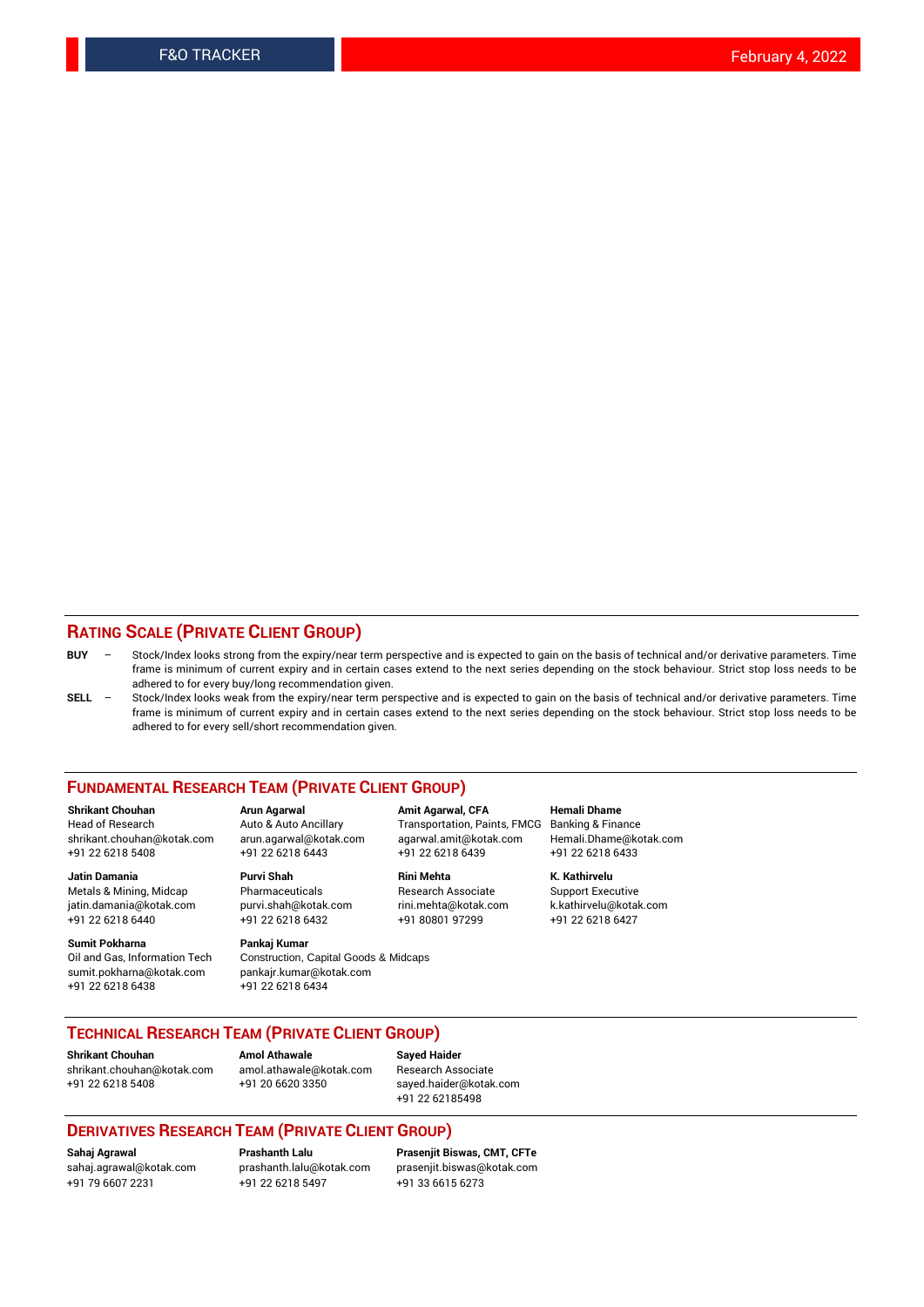#### **RATING SCALE (PRIVATE CLIENT GROUP)**

- **BUY**  Stock/Index looks strong from the expiry/near term perspective and is expected to gain on the basis of technical and/or derivative parameters. Time frame is minimum of current expiry and in certain cases extend to the next series depending on the stock behaviour. Strict stop loss needs to be adhered to for every buy/long recommendation given.
- **SELL** Stock/Index looks weak from the expiry/near term perspective and is expected to gain on the basis of technical and/or derivative parameters. Time frame is minimum of current expiry and in certain cases extend to the next series depending on the stock behaviour. Strict stop loss needs to be adhered to for every sell/short recommendation given.

#### **FUNDAMENTAL RESEARCH TEAM (PRIVATE CLIENT GROUP)**

**Shrikant Chouhan Arun Agarwal Amit Agarwal, CFA Hemali Dhame** shrikant.chouhan@kotak.com arun.agarwal@kotak.com agarwal.amit@kotak.com Hemali.Dhame@kotak.com +91 22 6218 5408 +91 22 6218 6443 +91 22 6218 6439 +91 22 6218 6433

Metals & Mining, Midcap Pharmaceuticals Pharmaceuticals Research Associate Support Executive<br>
iatin.damania@kotak.com purvi.shah@kotak.com rini.mehta@kotak.com k.kathirvelu@kotak.com jatin.damania@kotak.com

**Sumit Pokharna** Pankaj Kumar<br>Oil and Gas, Information Tech Construction, sumit.pokharna@kotak.com pankajr.kumar@kotak.com +91 22 6218 6438 +91 22 6218 6434

Construction, Capital Goods & Midcaps

Transportation, Paints, FMCG

**Jatin Damania Purvi Shah Rini Mehta K. Kathirvelu** +91 22 6218 6440 +91 22 6218 6432 +91 80801 97299 +91 22 6218 6427

### **TECHNICAL RESEARCH TEAM (PRIVATE CLIENT GROUP)**

**Shrikant Chouhan Amol Athawale Sayed Haider** [shrikant.chouhan@kotak.com](mailto:shrikant.chouhan@kotak.com) [amol.athawale@kotak.com](mailto:amol.athawale@kotak.com) Research Associate +91 22 6218 5408 +91 20 6620 3350 [sayed.haider@kotak.com](mailto:sayed.haider@kotak.com)

+91 22 62185498

#### **DERIVATIVES RESEARCH TEAM (PRIVATE CLIENT GROUP)**

+91 79 6607 2231 +91 22 6218 5497 +91 33 6615 6273

**Sahaj Agrawal Prashanth Lalu Prasenjit Biswas, CMT, CFTe** [prasenjit.biswas@kotak.com](mailto:prasenjit.biswas@kotak.com)